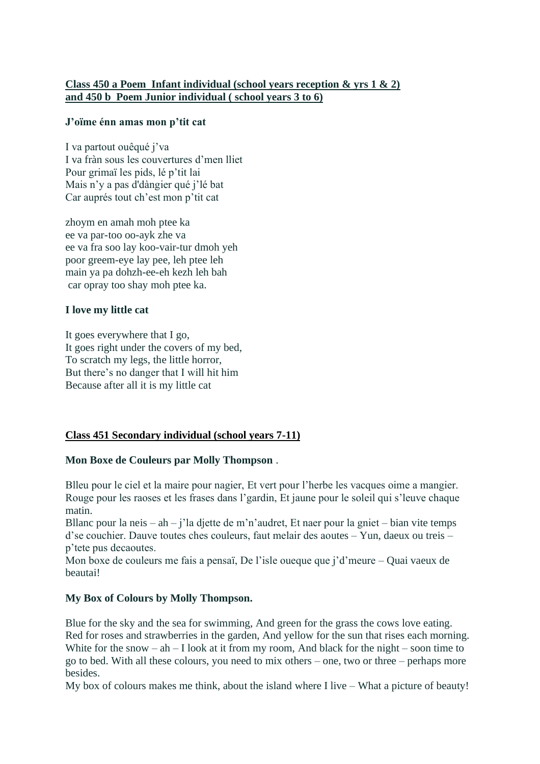# **Class 450 a Poem Infant individual (school years reception & yrs 1 & 2) and 450 b Poem Junior individual ( school years 3 to 6)**

### **J'oïme énn amas mon p'tit cat**

I va partout ouêqué j'va I va fràn sous les couvertures d'men lliet Pour grimaï les pids, lé p'tit lai Mais n'y a pas d'dàngier qué j'lé bat Car auprés tout ch'est mon p'tit cat

zhoym en amah moh ptee ka ee va par-too oo-ayk zhe va ee va fra soo lay koo-vair-tur dmoh yeh poor greem-eye lay pee, leh ptee leh main ya pa dohzh-ee-eh kezh leh bah car opray too shay moh ptee ka.

### **I love my little cat**

It goes everywhere that I go, It goes right under the covers of my bed, To scratch my legs, the little horror, But there's no danger that I will hit him Because after all it is my little cat

# **Class 451 Secondary individual (school years 7-11)**

# **Mon Boxe de Couleurs par Molly Thompson** .

Blleu pour le ciel et la maire pour nagier, Et vert pour l'herbe les vacques oime a mangier. Rouge pour les raoses et les frases dans l'gardin, Et jaune pour le soleil qui s'leuve chaque matin.

Bllanc pour la neis – ah – j'la djette de m'n'audret, Et naer pour la gniet – bian vite temps d'se couchier. Dauve toutes ches couleurs, faut melair des aoutes – Yun, daeux ou treis – p'tete pus decaoutes.

Mon boxe de couleurs me fais a pensaï, De l'isle oueque que j'd'meure – Quai vaeux de beautai!

# **My Box of Colours by Molly Thompson.**

Blue for the sky and the sea for swimming, And green for the grass the cows love eating. Red for roses and strawberries in the garden, And yellow for the sun that rises each morning. White for the snow – ah – I look at it from my room, And black for the night – soon time to go to bed. With all these colours, you need to mix others – one, two or three – perhaps more besides.

My box of colours makes me think, about the island where I live – What a picture of beauty!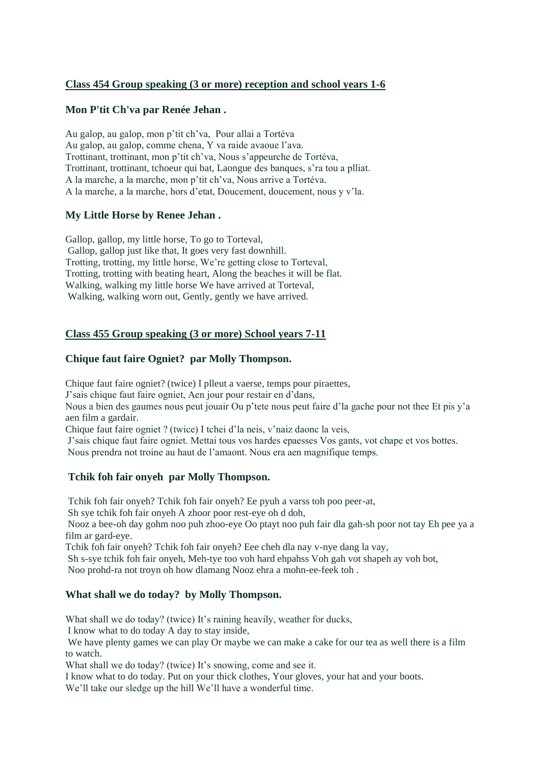### **Class 454 Group speaking (3 or more) reception and school years 1-6**

#### **Mon P'tit Ch'va par Renée Jehan .**

Au galop, au galop, mon p'tit ch'va, Pour allai a Tortéva Au galop, au galop, comme chena, Y va raide avaoue l'ava. Trottinant, trottinant, mon p'tit ch'va, Nous s'appeurche de Tortéva, Trottinant, trottinant, tchoeur qui bat, Laongue des banques, s'ra tou a plliat. A la marche, a la marche, mon p'tit ch'va, Nous arrive a Tortéva. A la marche, a la marche, hors d'etat, Doucement, doucement, nous y v'la.

### **My Little Horse by Renee Jehan .**

Gallop, gallop, my little horse, To go to Torteval, Gallop, gallop just like that, It goes very fast downhill. Trotting, trotting, my little horse, We're getting close to Torteval, Trotting, trotting with beating heart, Along the beaches it will be flat. Walking, walking my little horse We have arrived at Torteval, Walking, walking worn out, Gently, gently we have arrived.

### **Class 455 Group speaking (3 or more) School years 7-11**

### **Chique faut faire Ogniet? par Molly Thompson.**

Chique faut faire ogniet? (twice) I plleut a vaerse, temps pour piraettes, J'sais chique faut faire ogniet, Aen jour pour restair en d'dans, Nous a bien des gaumes nous peut jouair Ou p'tete nous peut faire d'la gache pour not thee Et pis y'a

aen film a gardair.

Chique faut faire ogniet ? (twice) I tchei d'la neis, v'naiz daonc la veis,

J'sais chique faut faire ogniet. Mettai tous vos hardes epaesses Vos gants, vot chape et vos bottes. Nous prendra not troine au haut de l'amaont. Nous era aen magnifique temps.

### **Tchik foh fair onyeh par Molly Thompson.**

Tchik foh fair onyeh? Tchik foh fair onyeh? Ee pyuh a varss toh poo peer-at,

Sh sye tchik foh fair onyeh A zhoor poor rest-eye oh d doh,

Nooz a bee-oh day gohm noo puh zhoo-eye Oo ptayt noo puh fair dla gah-sh poor not tay Eh pee ya a film ar gard-eye.

Tchik foh fair onyeh? Tchik foh fair onyeh? Eee cheh dla nay v-nye dang la vay,

Sh s-sye tchik foh fair onyeh, Meh-tye too voh hard ehpahss Voh gah vot shapeh ay voh bot, Noo prohd-ra not troyn oh how dlamang Nooz ehra a mohn-ee-feek toh .

### **What shall we do today? by Molly Thompson.**

What shall we do today? (twice) It's raining heavily, weather for ducks,

I know what to do today A day to stay inside,

We have plenty games we can play Or maybe we can make a cake for our tea as well there is a film to watch.

What shall we do today? (twice) It's snowing, come and see it.

I know what to do today. Put on your thick clothes, Your gloves, your hat and your boots.

We'll take our sledge up the hill We'll have a wonderful time.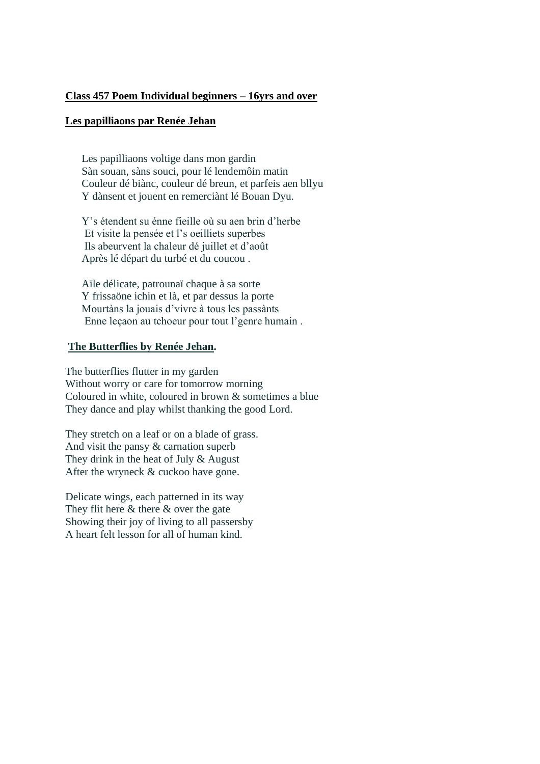### **Class 457 Poem Individual beginners – 16yrs and over**

#### **Les papilliaons par Renée Jehan**

Les papilliaons voltige dans mon gardin Sàn souan, sàns souci, pour lé lendemôin matin Couleur dé biànc, couleur dé breun, et parfeis aen bllyu Y dànsent et jouent en remerciànt lé Bouan Dyu.

Y's étendent su énne fieille où su aen brin d'herbe Et visite la pensée et l's oeilliets superbes Ils abeurvent la chaleur dé juillet et d'août Après lé départ du turbé et du coucou .

Aïle délicate, patrounaï chaque à sa sorte Y frissaöne ichin et là, et par dessus la porte Mourtàns la jouais d'vivre à tous les passànts Enne leçaon au tchoeur pour tout l'genre humain .

### **The Butterflies by Renée Jehan.**

The butterflies flutter in my garden Without worry or care for tomorrow morning Coloured in white, coloured in brown & sometimes a blue They dance and play whilst thanking the good Lord.

They stretch on a leaf or on a blade of grass. And visit the pansy & carnation superb They drink in the heat of July & August After the wryneck & cuckoo have gone.

Delicate wings, each patterned in its way They flit here  $&$  there  $&$  over the gate Showing their joy of living to all passersby A heart felt lesson for all of human kind.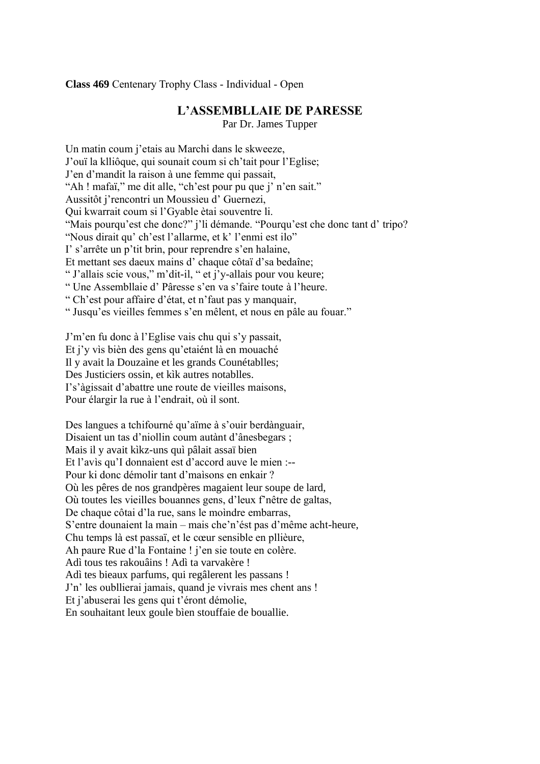**Class 469** Centenary Trophy Class - Individual - Open

# **L'ASSEMBLLAIE DE PARESSE**

Par Dr. James Tupper

Un matin coum j'etais au Marchi dans le skweeze, J'ouï la klliôque, qui sounait coum si ch'tait pour l'Eglise; J'en d'mandit la raison à une femme qui passait, "Ah ! mafaï," me dit alle, "ch'est pour pu que j' n'en sait." Aussitôt j'rencontri un Moussìeu d' Guernezi, Qui kwarrait coum si l'Gyable ètai souventre li. "Mais pourqu'est che donc?" j'li démande. "Pourqu'est che donc tant d' tripo? "Nous dirait qu' ch'est l'allarme, et k' l'enmi est ilo" I' s'arrête un p'tit brin, pour reprendre s'en halaine, Et mettant ses daeux mains d' chaque côtaï d'sa bedaîne; " J'allais scie vous," m'dit-il, " et j'y-allais pour vou keure; " Une Assembllaie d' Pâresse s'en va s'faire toute à l'heure. " Ch'est pour affaire d'état, et n'faut pas y manquair, " Jusqu'es vieilles femmes s'en mêlent, et nous en pâle au fouar."

J'm'en fu donc à l'Eglise vais chu qui s'y passait, Et j'y vìs bièn des gens qu'etaiént là en mouaché Il y avait la Douzaìne et les grands Counétablles; Des Justiciers ossin, et kìk autres notablles. I's'àgissait d'abattre une route de vieilles maisons, Pour élargir la rue à l'endrait, où il sont.

Des langues a tchifourné qu'aïme à s'ouir berdànguair, Disaient un tas d'niollin coum autànt d'ânesbegars ; Mais il y avait kìkz-uns quì pâlait assaï bien Et l'avìs qu'I donnaìent est d'accord auve le mien :-- Pour ki donc démolir tant d'maìsons en enkair ? Où les pêres de nos grandpères magaient leur soupe de lard, Où toutes les vieilles bouannes gens, d'leux f'nêtre de galtas, De chaque côtai d'la rue, sans le moìndre embarras, S'entre dounaient la main – mais che'n'ést pas d'même acht-heure, Chu temps là est passaï, et le cœur sensible en pllièure, Ah paure Rue d'la Fontaine ! j'en sie toute en colère. Adì tous tes rakouâins ! Adì ta varvakère ! Adì tes bieaux parfums, qui regâlerent les passans ! J'n' les oubllierai jamais, quand je vivrais mes chent ans ! Et j'abuserai les gens qui t'éront démolie, En souhaitant leux goule bìen stouffaie de bouallie.